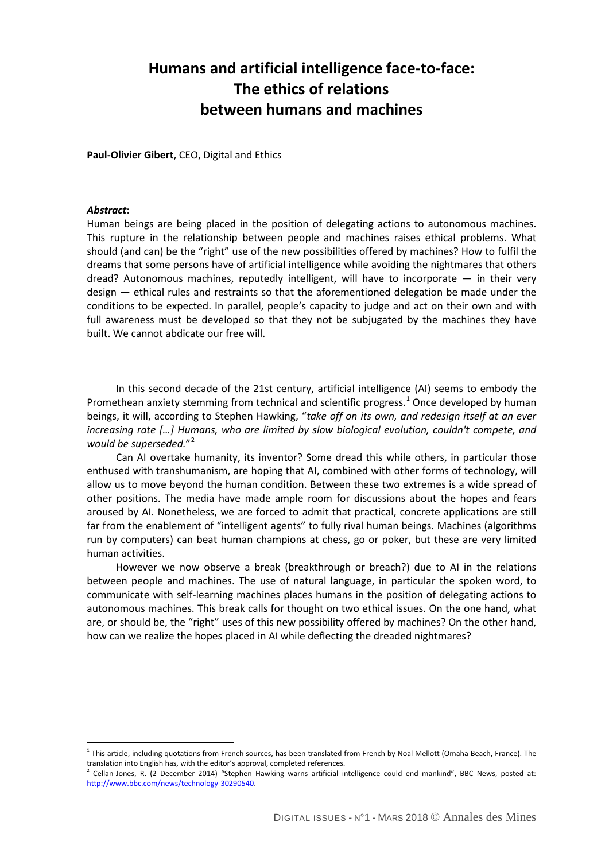## **Humans and artificial intelligence face-to-face: The ethics of relations between humans and machines**

**Paul-Olivier Gibert**, CEO, Digital and Ethics

## *Abstract*:

 $\overline{a}$ 

Human beings are being placed in the position of delegating actions to autonomous machines. This rupture in the relationship between people and machines raises ethical problems. What should (and can) be the "right" use of the new possibilities offered by machines? How to fulfil the dreams that some persons have of artificial intelligence while avoiding the nightmares that others dread? Autonomous machines, reputedly intelligent, will have to incorporate — in their very design — ethical rules and restraints so that the aforementioned delegation be made under the conditions to be expected. In parallel, people's capacity to judge and act on their own and with full awareness must be developed so that they not be subjugated by the machines they have built. We cannot abdicate our free will.

In this second decade of the 21st century, artificial intelligence (AI) seems to embody the Promethean anxiety stemming from technical and scientific progress.<sup>[1](#page-0-0)</sup> Once developed by human beings, it will, according to Stephen Hawking, "*take off on its own, and redesign itself at an ever increasing rate […] Humans, who are limited by slow biological evolution, couldn't compete, and would be superseded.*"[2](#page-0-1)

Can AI overtake humanity, its inventor? Some dread this while others, in particular those enthused with transhumanism, are hoping that AI, combined with other forms of technology, will allow us to move beyond the human condition. Between these two extremes is a wide spread of other positions. The media have made ample room for discussions about the hopes and fears aroused by AI. Nonetheless, we are forced to admit that practical, concrete applications are still far from the enablement of "intelligent agents" to fully rival human beings. Machines (algorithms run by computers) can beat human champions at chess, go or poker, but these are very limited human activities.

However we now observe a break (breakthrough or breach?) due to AI in the relations between people and machines. The use of natural language, in particular the spoken word, to communicate with self-learning machines places humans in the position of delegating actions to autonomous machines. This break calls for thought on two ethical issues. On the one hand, what are, or should be, the "right" uses of this new possibility offered by machines? On the other hand, how can we realize the hopes placed in AI while deflecting the dreaded nightmares?

<span id="page-0-0"></span> $1$  This article, including quotations from French sources, has been translated from French by Noal Mellott (Omaha Beach, France). The translation into English has, with the editor's approval, completed references.

<span id="page-0-1"></span><sup>2</sup> Cellan-Jones, R. (2 December 2014) "Stephen Hawking warns artificial intelligence could end mankind", BBC News, posted at: [http://www.bbc.com/news/technology-30290540.](http://www.bbc.com/news/technology-30290540)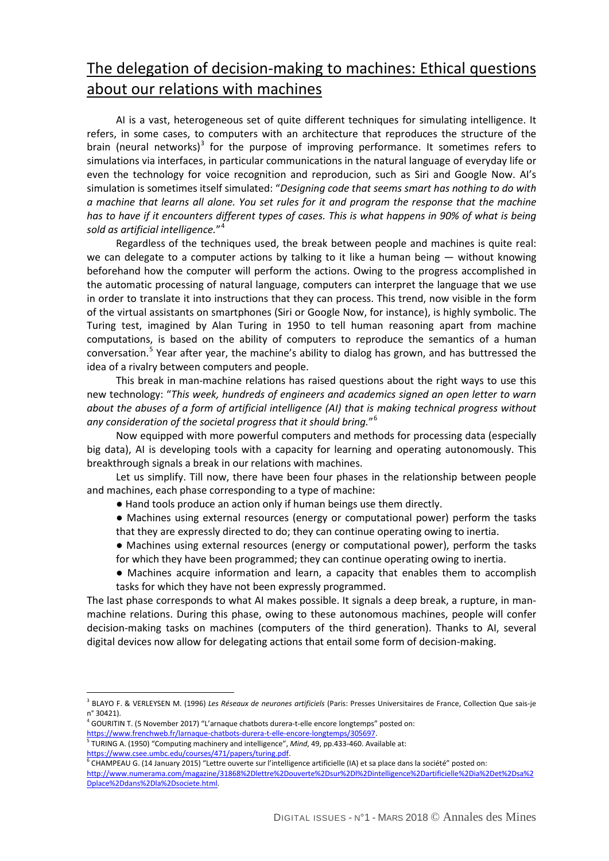## The delegation of decision-making to machines: Ethical questions about our relations with machines

AI is a vast, heterogeneous set of quite different techniques for simulating intelligence. It refers, in some cases, to computers with an architecture that reproduces the structure of the brain (neural networks)<sup>[3](#page-1-0)</sup> for the purpose of improving performance. It sometimes refers to simulations via interfaces, in particular communications in the natural language of everyday life or even the technology for voice recognition and reproducion, such as Siri and Google Now. AI's simulation is sometimes itself simulated: "*Designing code that seems smart has nothing to do with a machine that learns all alone. You set rules for it and program the response that the machine has to have if it encounters different types of cases. This is what happens in 90% of what is being sold as artificial intelligence.*"[4](#page-1-1)

Regardless of the techniques used, the break between people and machines is quite real: we can delegate to a computer actions by talking to it like a human being — without knowing beforehand how the computer will perform the actions. Owing to the progress accomplished in the automatic processing of natural language, computers can interpret the language that we use in order to translate it into instructions that they can process. This trend, now visible in the form of the virtual assistants on smartphones (Siri or Google Now, for instance), is highly symbolic. The Turing test, imagined by Alan Turing in 1950 to tell human reasoning apart from machine computations, is based on the ability of computers to reproduce the semantics of a human conversation.[5](#page-1-2) Year after year, the machine's ability to dialog has grown, and has buttressed the idea of a rivalry between computers and people.

This break in man-machine relations has raised questions about the right ways to use this new technology: "*This week, hundreds of engineers and academics signed an open letter to warn about the abuses of a form of artificial intelligence (AI) that is making technical progress without any consideration of the societal progress that it should bring.*"[6](#page-1-3)

Now equipped with more powerful computers and methods for processing data (especially big data), AI is developing tools with a capacity for learning and operating autonomously. This breakthrough signals a break in our relations with machines.

Let us simplify. Till now, there have been four phases in the relationship between people and machines, each phase corresponding to a type of machine:

- Hand tools produce an action only if human beings use them directly.
- Machines using external resources (energy or computational power) perform the tasks that they are expressly directed to do; they can continue operating owing to inertia.
- Machines using external resources (energy or computational power), perform the tasks for which they have been programmed; they can continue operating owing to inertia.
- Machines acquire information and learn, a capacity that enables them to accomplish tasks for which they have not been expressly programmed.

The last phase corresponds to what AI makes possible. It signals a deep break, a rupture, in manmachine relations. During this phase, owing to these autonomous machines, people will confer decision-making tasks on machines (computers of the third generation). Thanks to AI, several digital devices now allow for delegating actions that entail some form of decision-making.

<sup>4</sup> GOURITIN T. (5 November 2017) "L'arnaque chatbots durera-t-elle encore longtemps" posted on:

 $\overline{a}$ 

<span id="page-1-0"></span><sup>3</sup> BLAYO F. & VERLEYSEN M. (1996) *Les Réseaux de neurones artificiels* (Paris: Presses Universitaires de France, Collection Que sais-je n° 30421).

<span id="page-1-2"></span><span id="page-1-1"></span>[https://www.frenchweb.fr/larnaque-chatbots-durera-t-elle-encore-longtemps/305697.](https://www.frenchweb.fr/larnaque-chatbots-durera-t-elle-encore-longtemps/305697)<br><sup>5</sup> TURING A. (1950) "Computing machinery and intelligence", *Mind*, 49, pp.433-460. Available at: https://www.csee.umbc.edu/courses/471/papers/turing.pdf.<br><sup>6</sup> CHAMPEAU G. (14 January 2015) "Lettre ouverte sur l'intelligence artificielle (IA) et sa place dans la société" posted on:

<span id="page-1-3"></span>[http://www.numerama.com/magazine/31868%2Dlettre%2Douverte%2Dsur%2Dl%2Dintelligence%2Dartificielle%2Dia%2Det%2Dsa%2](http://www.numerama.com/magazine/31868-lettre-ouverte-sur-l-intelligence-artificielle-ia-et-sa-place-dans-la-societe.html) [Dplace%2Ddans%2Dla%2Dsociete.html.](http://www.numerama.com/magazine/31868-lettre-ouverte-sur-l-intelligence-artificielle-ia-et-sa-place-dans-la-societe.html)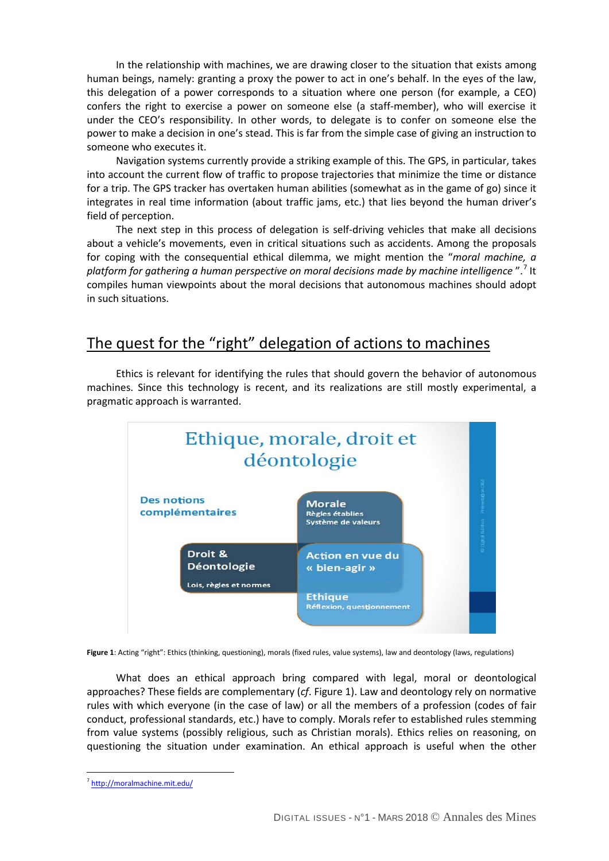In the relationship with machines, we are drawing closer to the situation that exists among human beings, namely: granting a proxy the power to act in one's behalf. In the eyes of the law, this delegation of a power corresponds to a situation where one person (for example, a CEO) confers the right to exercise a power on someone else (a staff-member), who will exercise it under the CEO's responsibility. In other words, to delegate is to confer on someone else the power to make a decision in one's stead. This is far from the simple case of giving an instruction to someone who executes it.

Navigation systems currently provide a striking example of this. The GPS, in particular, takes into account the current flow of traffic to propose trajectories that minimize the time or distance for a trip. The GPS tracker has overtaken human abilities (somewhat as in the game of go) since it integrates in real time information (about traffic jams, etc.) that lies beyond the human driver's field of perception.

The next step in this process of delegation is self-driving vehicles that make all decisions about a vehicle's movements, even in critical situations such as accidents. Among the proposals for coping with the consequential ethical dilemma, we might mention the "*moral machine, a platform for gathering a human perspective on moral decisions made by machine intelligence* ".[7](#page-2-0) It compiles human viewpoints about the moral decisions that autonomous machines should adopt in such situations.

## The quest for the "right" delegation of actions to machines

Ethics is relevant for identifying the rules that should govern the behavior of autonomous machines. Since this technology is recent, and its realizations are still mostly experimental, a pragmatic approach is warranted.



**Figure 1**: Acting "right": Ethics (thinking, questioning), morals (fixed rules, value systems), law and deontology (laws, regulations)

What does an ethical approach bring compared with legal, moral or deontological approaches? These fields are complementary (*cf*. Figure 1). Law and deontology rely on normative rules with which everyone (in the case of law) or all the members of a profession (codes of fair conduct, professional standards, etc.) have to comply. Morals refer to established rules stemming from value systems (possibly religious, such as Christian morals). Ethics relies on reasoning, on questioning the situation under examination. An ethical approach is useful when the other

 $\overline{a}$ 

<span id="page-2-0"></span><http://moralmachine.mit.edu/>